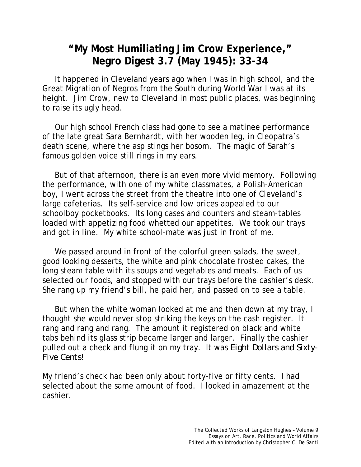## **"My Most Humiliating Jim Crow Experience," Negro Digest 3.7 (May 1945): 33-34**

 It happened in Cleveland years ago when I was in high school, and the Great Migration of Negros from the South during World War I was at its height. Jim Crow, new to Cleveland in most public places, was beginning to raise its ugly head.

 Our high school French class had gone to see a matinee performance of the late great Sara Bernhardt, with her wooden leg, in Cleopatra's death scene, where the asp stings her bosom. The magic of Sarah's famous golden voice still rings in my ears.

 But of that afternoon, there is an even more vivid memory. Following the performance, with one of my white classmates, a Polish-American boy, I went across the street from the theatre into one of Cleveland's large cafeterias. Its self-service and low prices appealed to our schoolboy pocketbooks. Its long cases and counters and steam-tables loaded with appetizing food whetted our appetites. We took our trays and got in line. My white school-mate was just in front of me.

We passed around in front of the colorful green salads, the sweet, good looking desserts, the white and pink chocolate frosted cakes, the long steam table with its soups and vegetables and meats. Each of us selected our foods, and stopped with our trays before the cashier's desk. She rang up my friend's bill, he paid her, and passed on to see a table.

 But when the white woman looked at me and then down at my tray, I thought she would never stop striking the keys on the cash register. It rang and rang and rang. The amount it registered on black and white tabs behind its glass strip became larger and larger. Finally the cashier pulled out a check and flung it on my tray. It was *Eight Dollars and Sixty-Five Cents!* 

My friend's check had been only about forty-five or fifty cents. I had selected about the same amount of food. I looked in amazement at the cashier.